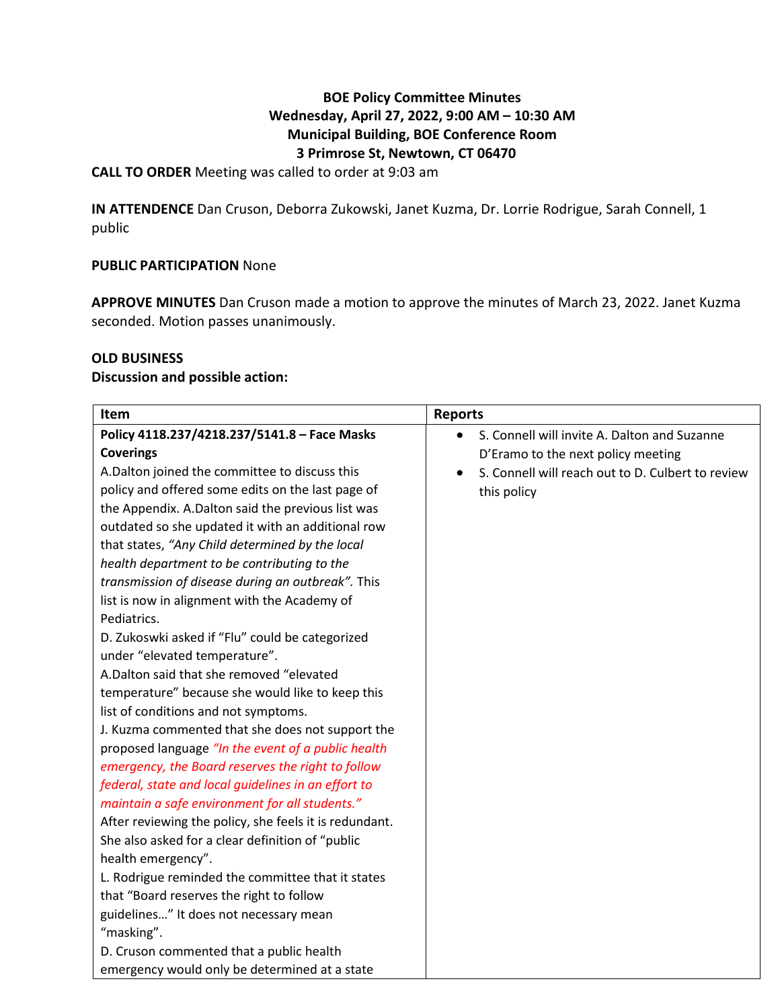## **BOE Policy Committee Minutes Wednesday, April 27, 2022, 9:00 AM – 10:30 AM Municipal Building, BOE Conference Room 3 Primrose St, Newtown, CT 06470**

**CALL TO ORDER** Meeting was called to order at 9:03 am

**IN ATTENDENCE** Dan Cruson, Deborra Zukowski, Janet Kuzma, Dr. Lorrie Rodrigue, Sarah Connell, 1 public

### **PUBLIC PARTICIPATION** None

**APPROVE MINUTES** Dan Cruson made a motion to approve the minutes of March 23, 2022. Janet Kuzma seconded. Motion passes unanimously.

### **OLD BUSINESS**

#### **Discussion and possible action:**

| Item                                                   | <b>Reports</b>                                    |
|--------------------------------------------------------|---------------------------------------------------|
| Policy 4118.237/4218.237/5141.8 - Face Masks           | S. Connell will invite A. Dalton and Suzanne      |
| <b>Coverings</b>                                       | D'Eramo to the next policy meeting                |
| A.Dalton joined the committee to discuss this          | S. Connell will reach out to D. Culbert to review |
| policy and offered some edits on the last page of      | this policy                                       |
| the Appendix. A.Dalton said the previous list was      |                                                   |
| outdated so she updated it with an additional row      |                                                   |
| that states, "Any Child determined by the local        |                                                   |
| health department to be contributing to the            |                                                   |
| transmission of disease during an outbreak". This      |                                                   |
| list is now in alignment with the Academy of           |                                                   |
| Pediatrics.                                            |                                                   |
| D. Zukoswki asked if "Flu" could be categorized        |                                                   |
| under "elevated temperature".                          |                                                   |
| A.Dalton said that she removed "elevated               |                                                   |
| temperature" because she would like to keep this       |                                                   |
| list of conditions and not symptoms.                   |                                                   |
| J. Kuzma commented that she does not support the       |                                                   |
| proposed language "In the event of a public health     |                                                   |
| emergency, the Board reserves the right to follow      |                                                   |
| federal, state and local guidelines in an effort to    |                                                   |
| maintain a safe environment for all students."         |                                                   |
| After reviewing the policy, she feels it is redundant. |                                                   |
| She also asked for a clear definition of "public       |                                                   |
| health emergency".                                     |                                                   |
| L. Rodrigue reminded the committee that it states      |                                                   |
| that "Board reserves the right to follow               |                                                   |
| guidelines" It does not necessary mean                 |                                                   |
| "masking".                                             |                                                   |
| D. Cruson commented that a public health               |                                                   |
| emergency would only be determined at a state          |                                                   |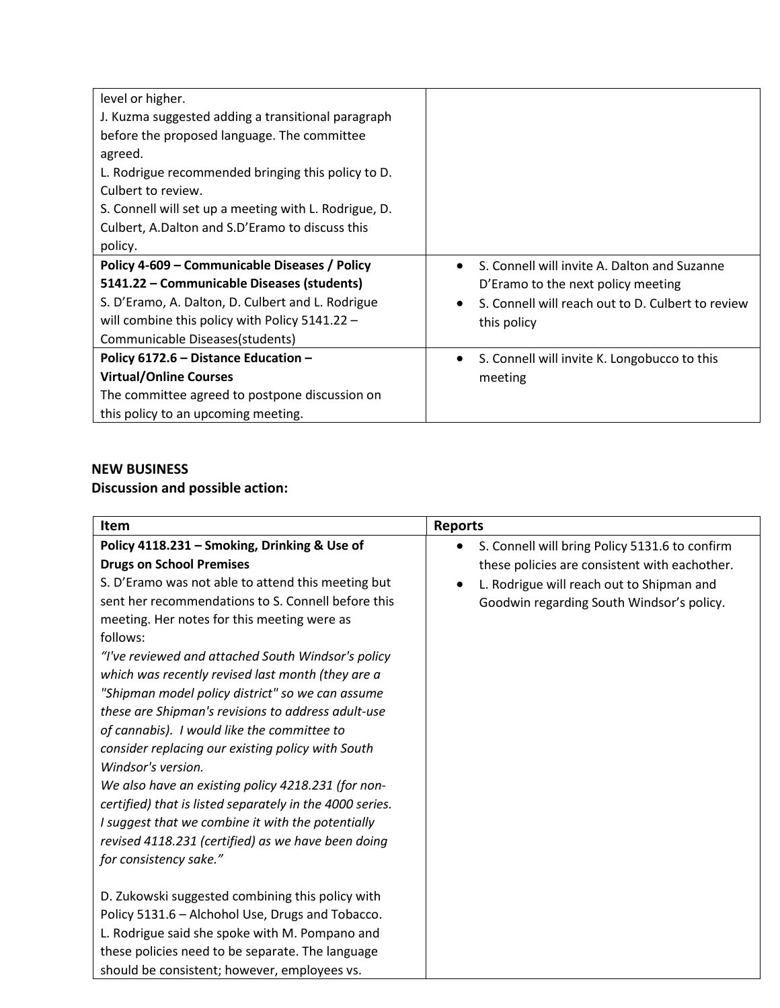| level or higher.                                      |                                                                |
|-------------------------------------------------------|----------------------------------------------------------------|
| J. Kuzma suggested adding a transitional paragraph    |                                                                |
| before the proposed language. The committee           |                                                                |
| agreed.                                               |                                                                |
| L. Rodrigue recommended bringing this policy to D.    |                                                                |
| Culbert to review.                                    |                                                                |
| S. Connell will set up a meeting with L. Rodrigue, D. |                                                                |
| Culbert, A.Dalton and S.D'Eramo to discuss this       |                                                                |
| policy.                                               |                                                                |
| Policy 4-609 – Communicable Diseases / Policy         | S. Connell will invite A. Dalton and Suzanne                   |
| 5141.22 - Communicable Diseases (students)            | D'Eramo to the next policy meeting                             |
| S. D'Eramo, A. Dalton, D. Culbert and L. Rodrigue     | S. Connell will reach out to D. Culbert to review<br>$\bullet$ |
| will combine this policy with Policy $5141.22 -$      | this policy                                                    |
| Communicable Diseases(students)                       |                                                                |
| Policy 6172.6 - Distance Education -                  | S. Connell will invite K. Longobucco to this<br>$\bullet$      |
| <b>Virtual/Online Courses</b>                         | meeting                                                        |
| The committee agreed to postpone discussion on        |                                                                |
| this policy to an upcoming meeting.                   |                                                                |

## **NEW BUSINESS**

# **Discussion and possible action:**

| <b>Item</b>                                              | <b>Reports</b>                                 |
|----------------------------------------------------------|------------------------------------------------|
| Policy 4118.231 - Smoking, Drinking & Use of             | S. Connell will bring Policy 5131.6 to confirm |
| <b>Drugs on School Premises</b>                          | these policies are consistent with eachother.  |
| S. D'Eramo was not able to attend this meeting but       | L. Rodrigue will reach out to Shipman and      |
| sent her recommendations to S. Connell before this       | Goodwin regarding South Windsor's policy.      |
| meeting. Her notes for this meeting were as              |                                                |
| follows:                                                 |                                                |
| "I've reviewed and attached South Windsor's policy       |                                                |
| which was recently revised last month (they are a        |                                                |
| "Shipman model policy district" so we can assume         |                                                |
| these are Shipman's revisions to address adult-use       |                                                |
| of cannabis). I would like the committee to              |                                                |
| consider replacing our existing policy with South        |                                                |
| Windsor's version.                                       |                                                |
| We also have an existing policy 4218.231 (for non-       |                                                |
| certified) that is listed separately in the 4000 series. |                                                |
| I suggest that we combine it with the potentially        |                                                |
| revised 4118.231 (certified) as we have been doing       |                                                |
| for consistency sake."                                   |                                                |
|                                                          |                                                |
| D. Zukowski suggested combining this policy with         |                                                |
| Policy 5131.6 - Alchohol Use, Drugs and Tobacco.         |                                                |
| L. Rodrigue said she spoke with M. Pompano and           |                                                |
| these policies need to be separate. The language         |                                                |
| should be consistent; however, employees vs.             |                                                |